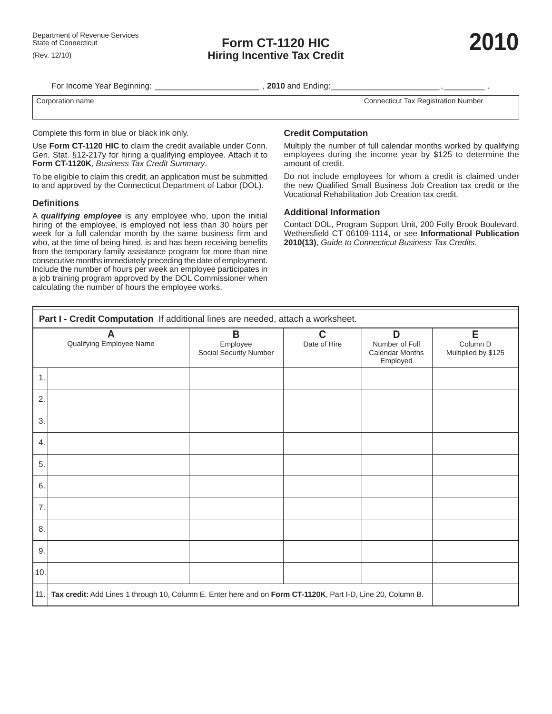For Income Year Beginning: **Example 2010 and Ending:**  $\overline{\phantom{a}}$ 

Corporation name Connecticut Tax Registration Number

Complete this form in blue or black ink only.

Use **Form CT-1120 HIC** to claim the credit available under Conn. Gen. Stat. §12-217y for hiring a qualifying employee. Attach it to **Form CT-1120K**, *Business Tax Credit Summary*.

To be eligible to claim this credit, an application must be submitted to and approved by the Connecticut Department of Labor (DOL).

## **Defi nitions**

A *qualifying employee* is any employee who, upon the initial hiring of the employee, is employed not less than 30 hours per week for a full calendar month by the same business firm and who, at the time of being hired, is and has been receiving benefits from the temporary family assistance program for more than nine consecutive months immediately preceding the date of employment. Include the number of hours per week an employee participates in a job training program approved by the DOL Commissioner when calculating the number of hours the employee works.

## **Credit Computation**

Multiply the number of full calendar months worked by qualifying employees during the income year by \$125 to determine the amount of credit.

Do not include employees for whom a credit is claimed under the new Qualified Small Business Job Creation tax credit or the Vocational Rehabilitation Job Creation tax credit.

## **Additional Information**

Contact DOL, Program Support Unit, 200 Folly Brook Boulevard, Wethersfield CT 06109-1114, or see **Informational Publication 2010(13)**, *Guide to Connecticut Business Tax Credits.*

| Part I - Credit Computation If additional lines are needed, attach a worksheet.                                    |                                                   |                             |  |                                      |  |  |  |  |  |  |
|--------------------------------------------------------------------------------------------------------------------|---------------------------------------------------|-----------------------------|--|--------------------------------------|--|--|--|--|--|--|
| A<br>Qualifying Employee Name                                                                                      | $\mathsf B$<br>Employee<br>Social Security Number | $\mathbf C$<br>Date of Hire |  | E<br>Column D<br>Multiplied by \$125 |  |  |  |  |  |  |
| $\mathbf{1}$ .                                                                                                     |                                                   |                             |  |                                      |  |  |  |  |  |  |
| 2.                                                                                                                 |                                                   |                             |  |                                      |  |  |  |  |  |  |
| 3.                                                                                                                 |                                                   |                             |  |                                      |  |  |  |  |  |  |
| 4.                                                                                                                 |                                                   |                             |  |                                      |  |  |  |  |  |  |
| 5.                                                                                                                 |                                                   |                             |  |                                      |  |  |  |  |  |  |
| 6.                                                                                                                 |                                                   |                             |  |                                      |  |  |  |  |  |  |
| 7.                                                                                                                 |                                                   |                             |  |                                      |  |  |  |  |  |  |
| 8.                                                                                                                 |                                                   |                             |  |                                      |  |  |  |  |  |  |
| 9.                                                                                                                 |                                                   |                             |  |                                      |  |  |  |  |  |  |
| 10.                                                                                                                |                                                   |                             |  |                                      |  |  |  |  |  |  |
| 11.<br>Tax credit: Add Lines 1 through 10, Column E. Enter here and on Form CT-1120K, Part I-D, Line 20, Column B. |                                                   |                             |  |                                      |  |  |  |  |  |  |